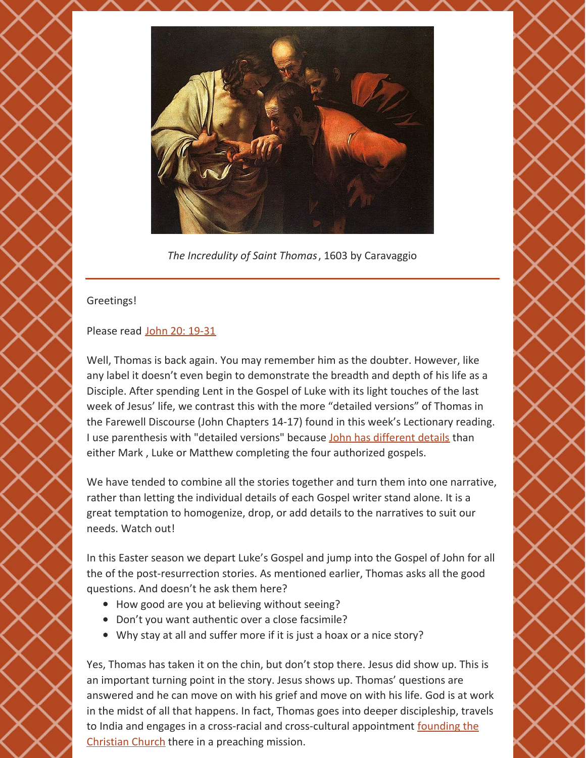

*The Incredulity of Saint Thomas*, 1603 by Caravaggio

## Greetings!

## Please read John 20: [19-31](https://www.biblegateway.com/passage/?search=+John+20%3A19-31&version=NRSV)

Well, Thomas is back again. You may remember him as the doubter. However, like any label it doesn't even begin to demonstrate the breadth and depth of his life as a Disciple. After spending Lent in the Gospel of Luke with its light touches of the last week of Jesus' life, we contrast this with the more "detailed versions" of Thomas in the Farewell Discourse (John Chapters 14-17) found in this week's Lectionary reading. I use parenthesis with "detailed versions" because John has [different](https://www.biblicalarchaeology.org/daily/biblical-topics/bible-interpretation/the-canonical-gospels/) details than either Mark , Luke or Matthew completing the four authorized gospels.

We have tended to combine all the stories together and turn them into one narrative, rather than letting the individual details of each Gospel writer stand alone. It is a great temptation to homogenize, drop, or add details to the narratives to suit our needs. Watch out!

In this Easter season we depart Luke's Gospel and jump into the Gospel of John for all the of the post-resurrection stories. As mentioned earlier, Thomas asks all the good questions. And doesn't he ask them here?

- How good are you at believing without seeing?
- Don't you want authentic over a close facsimile?
- Why stay at all and suffer more if it is just a hoax or a nice story?

Yes, Thomas has taken it on the chin, but don't stop there. Jesus did show up. This is an important turning point in the story. Jesus shows up. Thomas' questions are answered and he can move on with his grief and move on with his life. God is at work in the midst of all that happens. In fact, Thomas goes into deeper discipleship, travels to India and engages in a cross-racial and [cross-cultural](https://www.stapostle.org/st-thomas-church-parish-history/saint-thomas-biography/) appointment founding the Christian Church there in a preaching mission.